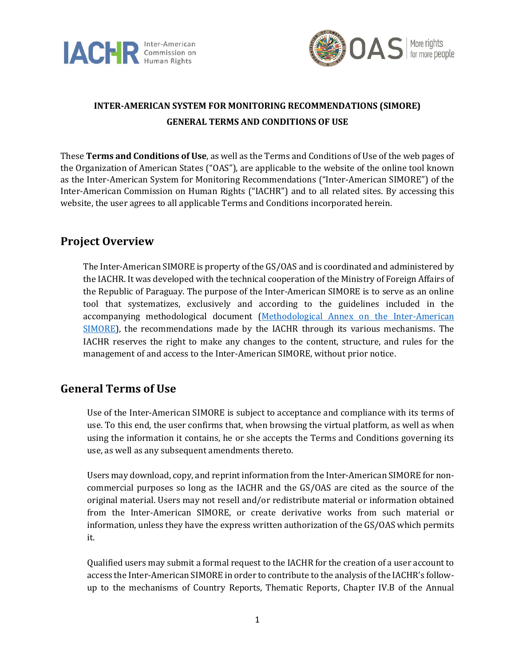



# **INTER-AMERICAN SYSTEM FOR MONITORING RECOMMENDATIONS (SIMORE) GENERAL TERMS AND CONDITIONS OF USE**

These **Terms and Conditions of Use**, as well as the Terms and Conditions of Use of the web pages of the Organization of American States ("OAS"), are applicable to the website of the online tool known as the Inter-American System for Monitoring Recommendations ("Inter-American SIMORE") of the Inter-American Commission on Human Rights ("IACHR") and to all related sites. By accessing this website, the user agrees to all applicable Terms and Conditions incorporated herein.

### **Project Overview**

The Inter-American SIMORE is property of the GS/OAS and is coordinated and administered by the IACHR. It was developed with the technical cooperation of the Ministry of Foreign Affairs of the Republic of Paraguay. The purpose of the Inter-American SIMORE is to serve as an online tool that systematizes, exclusively and according to the guidelines included in the accompanying methodological document [\(Methodological Annex on](https://www.oas.org/ext/en/human-rights/simore/Relevant-Information) the Inter-American [SIMORE\)](https://www.oas.org/ext/en/human-rights/simore/Relevant-Information), the recommendations made by the IACHR through its various mechanisms. The IACHR reserves the right to make any changes to the content, structure, and rules for the management of and access to the Inter-American SIMORE, without prior notice.

#### **General Terms of Use**

Use of the Inter-American SIMORE is subject to acceptance and compliance with its terms of use. To this end, the user confirms that, when browsing the virtual platform, as well as when using the information it contains, he or she accepts the Terms and Conditions governing its use, as well as any subsequent amendments thereto.

Users may download, copy, and reprint information from the Inter-American SIMORE for noncommercial purposes so long as the IACHR and the GS/OAS are cited as the source of the original material. Users may not resell and/or redistribute material or information obtained from the Inter-American SIMORE, or create derivative works from such material or information, unless they have the express written authorization of the GS/OAS which permits it.

Qualified users may submit a formal request to the IACHR for the creation of a user account to access the Inter-American SIMORE in order to contribute to the analysis of the IACHR's followup to the mechanisms of Country Reports, Thematic Reports, Chapter IV.B of the Annual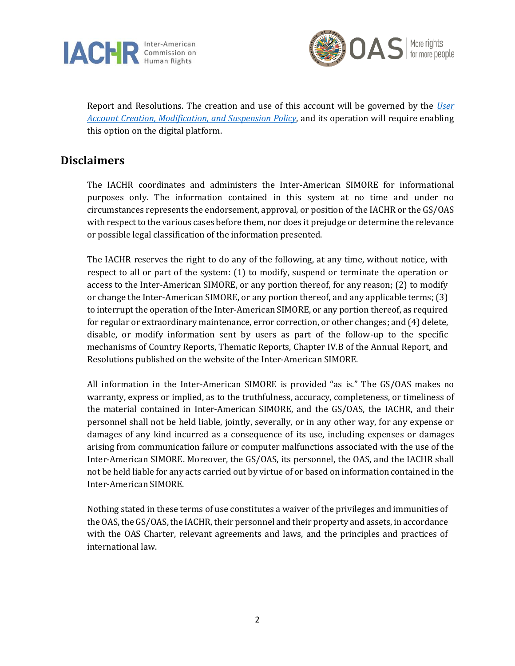



Report and Resolutions. The creation and use of this account will be governed by the *[User](https://www.oas.org/ext/Portals/25/Docs/SIMORE_Account_Creation_Policy.pdf)  Account [Creation, Modification, and Suspension](https://www.oas.org/ext/Portals/25/Docs/SIMORE_Account_Creation_Policy.pdf) Policy*, and its operation will require enabling this option on the digital platform.

## **Disclaimers**

The IACHR coordinates and administers the Inter-American SIMORE for informational purposes only. The information contained in this system at no time and under no circumstances represents the endorsement, approval, or position of the IACHR or the GS/OAS with respect to the various cases before them, nor does it prejudge or determine the relevance or possible legal classification of the information presented.

The IACHR reserves the right to do any of the following, at any time, without notice, with respect to all or part of the system: (1) to modify, suspend or terminate the operation or access to the Inter-American SIMORE, or any portion thereof, for any reason; (2) to modify or change the Inter-American SIMORE, or any portion thereof, and any applicable terms; (3) to interrupt the operation of the Inter-American SIMORE, or any portion thereof, as required for regular or extraordinary maintenance, error correction, or other changes; and (4) delete, disable, or modify information sent by users as part of the follow-up to the specific mechanisms of Country Reports, Thematic Reports, Chapter IV.B of the Annual Report, and Resolutions published on the website of the Inter-American SIMORE.

All information in the Inter-American SIMORE is provided "as is." The GS/OAS makes no warranty, express or implied, as to the truthfulness, accuracy, completeness, or timeliness of the material contained in Inter-American SIMORE, and the GS/OAS, the IACHR, and their personnel shall not be held liable, jointly, severally, or in any other way, for any expense or damages of any kind incurred as a consequence of its use, including expenses or damages arising from communication failure or computer malfunctions associated with the use of the Inter-American SIMORE. Moreover, the GS/OAS, its personnel, the OAS, and the IACHR shall not be held liable for any acts carried out by virtue of or based on information contained in the Inter-American SIMORE.

Nothing stated in these terms of use constitutes a waiver of the privileges and immunities of the OAS, the GS/OAS, the IACHR, their personnel and their property and assets, in accordance with the OAS Charter, relevant agreements and laws, and the principles and practices of international law.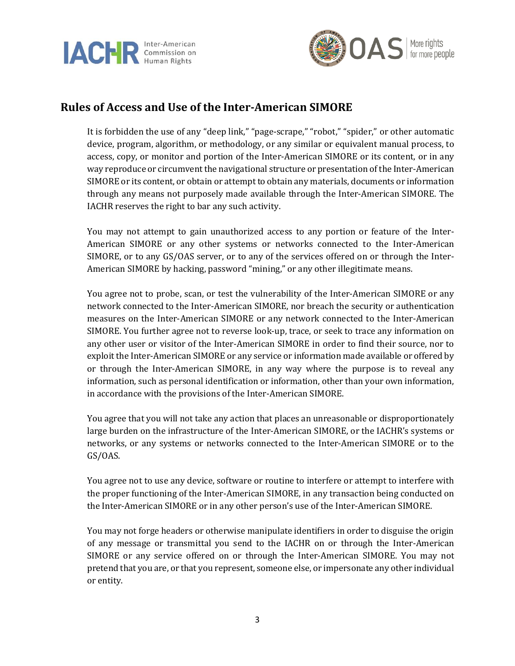



# **Rules of Access and Use of the Inter-American SIMORE**

It is forbidden the use of any "deep link," "page-scrape," "robot," "spider," or other automatic device, program, algorithm, or methodology, or any similar or equivalent manual process, to access, copy, or monitor and portion of the Inter-American SIMORE or its content, or in any way reproduce or circumvent the navigational structure or presentation of the Inter-American SIMORE or its content, or obtain or attempt to obtain any materials, documents or information through any means not purposely made available through the Inter-American SIMORE. The IACHR reserves the right to bar any such activity.

You may not attempt to gain unauthorized access to any portion or feature of the Inter-American SIMORE or any other systems or networks connected to the Inter-American SIMORE, or to any GS/OAS server, or to any of the services offered on or through the Inter-American SIMORE by hacking, password "mining," or any other illegitimate means.

You agree not to probe, scan, or test the vulnerability of the Inter-American SIMORE or any network connected to the Inter-American SIMORE, nor breach the security or authentication measures on the Inter-American SIMORE or any network connected to the Inter-American SIMORE. You further agree not to reverse look-up, trace, or seek to trace any information on any other user or visitor of the Inter-American SIMORE in order to find their source, nor to exploit the Inter-American SIMORE or any service or information made available or offered by or through the Inter-American SIMORE, in any way where the purpose is to reveal any information, such as personal identification or information, other than your own information, in accordance with the provisions of the Inter-American SIMORE.

You agree that you will not take any action that places an unreasonable or disproportionately large burden on the infrastructure of the Inter-American SIMORE, or the IACHR's systems or networks, or any systems or networks connected to the Inter-American SIMORE or to the GS/OAS.

You agree not to use any device, software or routine to interfere or attempt to interfere with the proper functioning of the Inter-American SIMORE, in any transaction being conducted on the Inter-American SIMORE or in any other person's use of the Inter-American SIMORE.

You may not forge headers or otherwise manipulate identifiers in order to disguise the origin of any message or transmittal you send to the IACHR on or through the Inter-American SIMORE or any service offered on or through the Inter-American SIMORE. You may not pretend that you are, or that you represent, someone else, or impersonate any other individual or entity.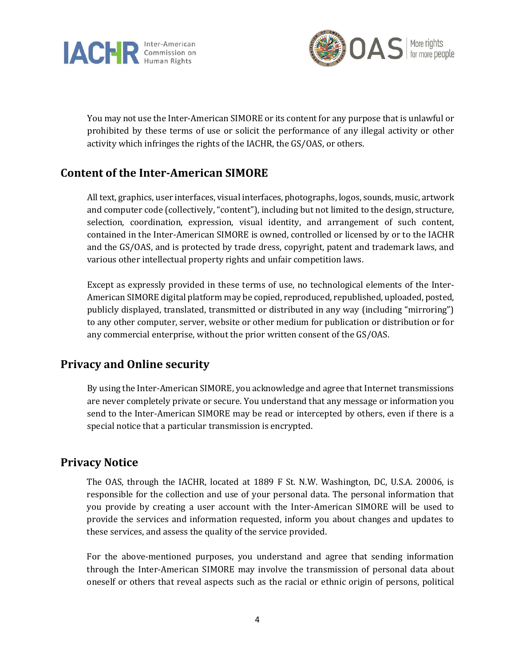



You may not use the Inter-American SIMORE or its content for any purpose that is unlawful or prohibited by these terms of use or solicit the performance of any illegal activity or other activity which infringes the rights of the IACHR, the GS/OAS, or others.

### **Content of the Inter-American SIMORE**

All text, graphics, user interfaces, visual interfaces, photographs, logos, sounds, music, artwork and computer code (collectively, "content"), including but not limited to the design, structure, selection, coordination, expression, visual identity, and arrangement of such content, contained in the Inter-American SIMORE is owned, controlled or licensed by or to the IACHR and the GS/OAS, and is protected by trade dress, copyright, patent and trademark laws, and various other intellectual property rights and unfair competition laws.

Except as expressly provided in these terms of use, no technological elements of the Inter-American SIMORE digital platform may be copied, reproduced, republished, uploaded, posted, publicly displayed, translated, transmitted or distributed in any way (including "mirroring") to any other computer, server, website or other medium for publication or distribution or for any commercial enterprise, without the prior written consent of the GS/OAS.

## **Privacy and Online security**

By using the Inter-American SIMORE, you acknowledge and agree that Internet transmissions are never completely private or secure. You understand that any message or information you send to the Inter-American SIMORE may be read or intercepted by others, even if there is a special notice that a particular transmission is encrypted.

#### **Privacy Notice**

The OAS, through the IACHR, located at 1889 F St. N.W. Washington, DC, U.S.A. 20006, is responsible for the collection and use of your personal data. The personal information that you provide by creating a user account with the Inter-American SIMORE will be used to provide the services and information requested, inform you about changes and updates to these services, and assess the quality of the service provided.

For the above-mentioned purposes, you understand and agree that sending information through the Inter-American SIMORE may involve the transmission of personal data about oneself or others that reveal aspects such as the racial or ethnic origin of persons, political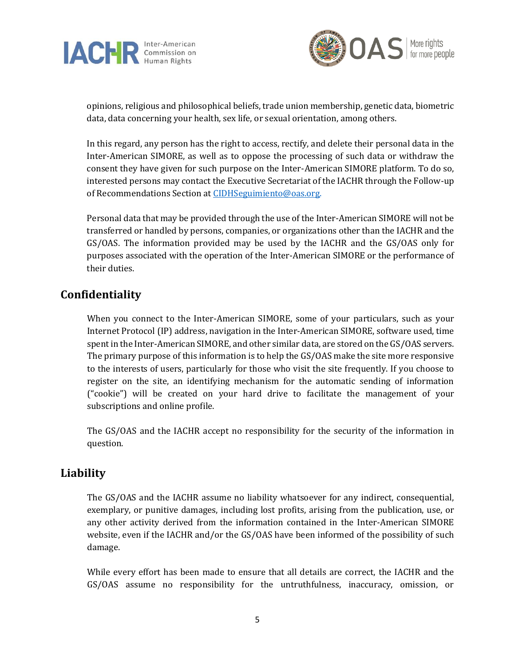



opinions, religious and philosophical beliefs, trade union membership, genetic data, biometric data, data concerning your health, sex life, or sexual orientation, among others.

In this regard, any person has the right to access, rectify, and delete their personal data in the Inter-American SIMORE, as well as to oppose the processing of such data or withdraw the consent they have given for such purpose on the Inter-American SIMORE platform. To do so, interested persons may contact the Executive Secretariat of the IACHR through the Follow-up of Recommendations Section a[t CIDHSeguimiento@oas.org.](mailto:CIDHSeguimiento@oas.org)

Personal data that may be provided through the use of the Inter-American SIMORE will not be transferred or handled by persons, companies, or organizations other than the IACHR and the GS/OAS. The information provided may be used by the IACHR and the GS/OAS only for purposes associated with the operation of the Inter-American SIMORE or the performance of their duties.

## **Confidentiality**

When you connect to the Inter-American SIMORE, some of your particulars, such as your Internet Protocol (IP) address, navigation in the Inter-American SIMORE, software used, time spent in the Inter-American SIMORE, and other similar data, are stored on the GS/OAS servers. The primary purpose of this information is to help the GS/OAS make the site more responsive to the interests of users, particularly for those who visit the site frequently. If you choose to register on the site, an identifying mechanism for the automatic sending of information ("cookie") will be created on your hard drive to facilitate the management of your subscriptions and online profile.

The GS/OAS and the IACHR accept no responsibility for the security of the information in question.

## **Liability**

The GS/OAS and the IACHR assume no liability whatsoever for any indirect, consequential, exemplary, or punitive damages, including lost profits, arising from the publication, use, or any other activity derived from the information contained in the Inter-American SIMORE website, even if the IACHR and/or the GS/OAS have been informed of the possibility of such damage.

While every effort has been made to ensure that all details are correct, the IACHR and the GS/OAS assume no responsibility for the untruthfulness, inaccuracy, omission, or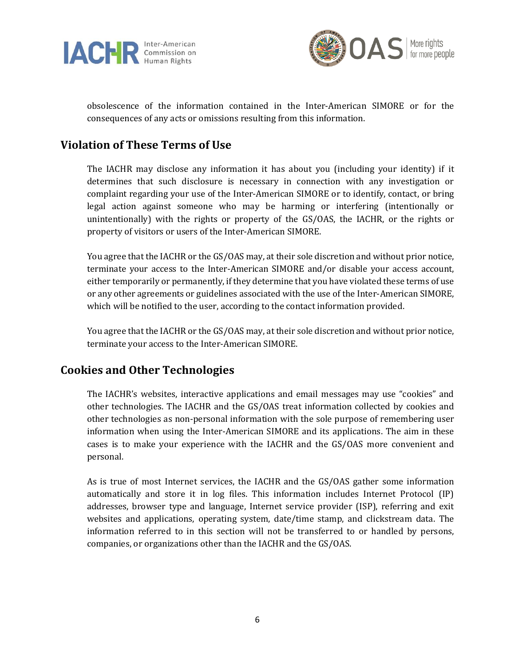



obsolescence of the information contained in the Inter-American SIMORE or for the consequences of any acts or omissions resulting from this information.

# **Violation of These Terms of Use**

The IACHR may disclose any information it has about you (including your identity) if it determines that such disclosure is necessary in connection with any investigation or complaint regarding your use of the Inter-American SIMORE or to identify, contact, or bring legal action against someone who may be harming or interfering (intentionally or unintentionally) with the rights or property of the GS/OAS, the IACHR, or the rights or property of visitors or users of the Inter-American SIMORE.

You agree that the IACHR or the GS/OAS may, at their sole discretion and without prior notice, terminate your access to the Inter-American SIMORE and/or disable your access account, either temporarily or permanently, if they determine that you have violated these terms of use or any other agreements or guidelines associated with the use of the Inter-American SIMORE, which will be notified to the user, according to the contact information provided.

You agree that the IACHR or the GS/OAS may, at their sole discretion and without prior notice, terminate your access to the Inter-American SIMORE.

## **Cookies and Other Technologies**

The IACHR's websites, interactive applications and email messages may use "cookies" and other technologies. The IACHR and the GS/OAS treat information collected by cookies and other technologies as non-personal information with the sole purpose of remembering user information when using the Inter-American SIMORE and its applications. The aim in these cases is to make your experience with the IACHR and the GS/OAS more convenient and personal.

As is true of most Internet services, the IACHR and the GS/OAS gather some information automatically and store it in log files. This information includes Internet Protocol (IP) addresses, browser type and language, Internet service provider (ISP), referring and exit websites and applications, operating system, date/time stamp, and clickstream data. The information referred to in this section will not be transferred to or handled by persons, companies, or organizations other than the IACHR and the GS/OAS.